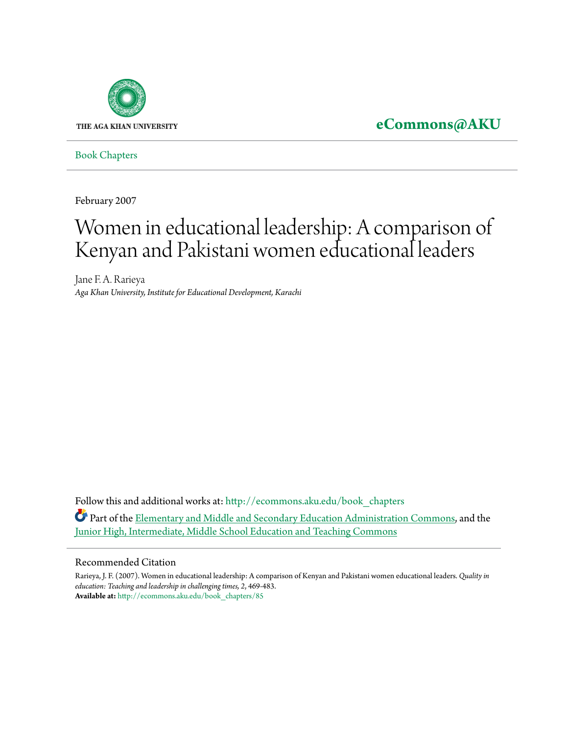

**[eCommons@AKU](http://ecommons.aku.edu?utm_source=ecommons.aku.edu%2Fbook_chapters%2F85&utm_medium=PDF&utm_campaign=PDFCoverPages)**

[Book Chapters](http://ecommons.aku.edu/book_chapters?utm_source=ecommons.aku.edu%2Fbook_chapters%2F85&utm_medium=PDF&utm_campaign=PDFCoverPages)

February 2007

# Women in educational leadership: A comparison of Kenyan and Pakistani women educational leaders

Jane F. A. Rarieya *Aga Khan University, Institute for Educational Development, Karachi*

Follow this and additional works at: [http://ecommons.aku.edu/book\\_chapters](http://ecommons.aku.edu/book_chapters?utm_source=ecommons.aku.edu%2Fbook_chapters%2F85&utm_medium=PDF&utm_campaign=PDFCoverPages) Part of the [Elementary and Middle and Secondary Education Administration Commons,](http://network.bepress.com/hgg/discipline/790?utm_source=ecommons.aku.edu%2Fbook_chapters%2F85&utm_medium=PDF&utm_campaign=PDFCoverPages) and the [Junior High, Intermediate, Middle School Education and Teaching Commons](http://network.bepress.com/hgg/discipline/807?utm_source=ecommons.aku.edu%2Fbook_chapters%2F85&utm_medium=PDF&utm_campaign=PDFCoverPages)

#### Recommended Citation

Rarieya, J. F. (2007). Women in educational leadership: A comparison of Kenyan and Pakistani women educational leaders. *Quality in education: Teaching and leadership in challenging times, 2*, 469-483. **Available at:** [http://ecommons.aku.edu/book\\_chapters/85](http://ecommons.aku.edu/book_chapters/85)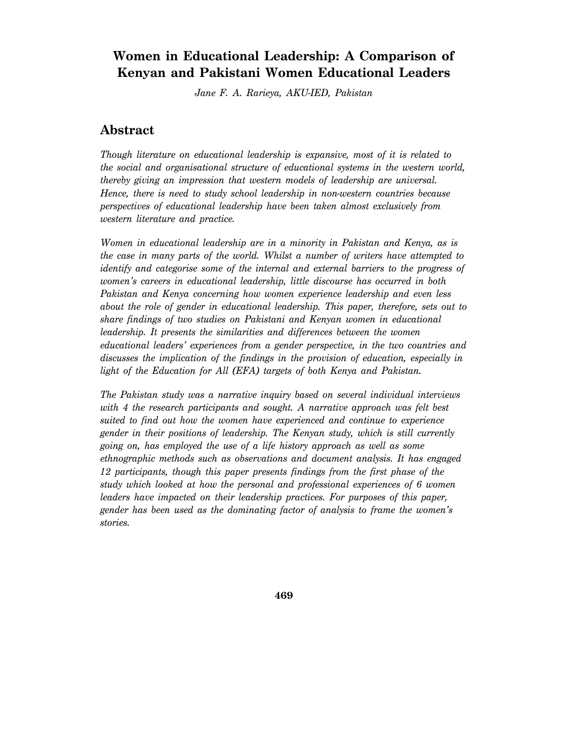## **Women in Educational Leadership: A Comparison of Kenyan and Pakistani Women Educational Leaders**

*Jane F. A. Rarieya, AKU-IED, Pakistan* 

### **Abstract**

*Though literature on educational leadership is expansive, most of it is related to the social and organisational structure of educational systems in the western world, thereby giving an impression that western models of leadership are universal. Hence, there is need to study school leadership in non-western countries because perspectives of educational leadership have been taken almost exclusively from western literature and practice.* 

*Women in educational leadership are in a minority in Pakistan and Kenya, as is the case in many parts of the world. Whilst a number of writers have attempted to identify and categorise some of the internal and external barriers to the progress of women's careers in educational leadership, little discourse has occurred in both Pakistan and Kenya concerning how women experience leadership and even less about the role of gender in educational leadership. This paper, therefore, sets out to share findings of two studies on Pakistani and Kenyan women in educational leadership. It presents the similarities and differences between the women educational leaders' experiences from a gender perspective, in the two countries and discusses the implication of the findings in the provision of education, especially in light of the Education for All (EFA) targets of both Kenya and Pakistan.* 

*The Pakistan study was a narrative inquiry based on several individual interviews with 4 the research participants and sought. A narrative approach was felt best suited to find out how the women have experienced and continue to experience gender in their positions of leadership. The Kenyan study, which is still currently going on, has employed the use of a life history approach as well as some ethnographic methods such as observations and document analysis. It has engaged 12 participants, though this paper presents findings from the first phase of the study which looked at how the personal and professional experiences of 6 women leaders have impacted on their leadership practices. For purposes of this paper, gender has been used as the dominating factor of analysis to frame the women's stories.*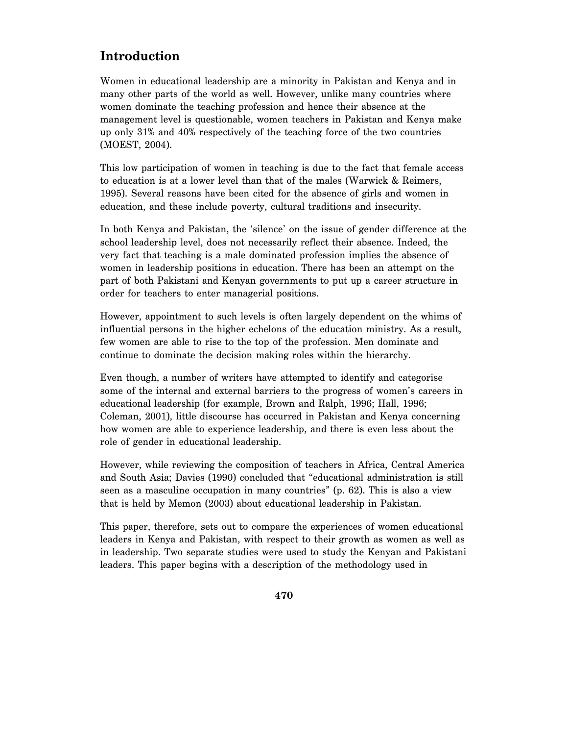# **Introduction**

Women in educational leadership are a minority in Pakistan and Kenya and in many other parts of the world as well. However, unlike many countries where women dominate the teaching profession and hence their absence at the management level is questionable, women teachers in Pakistan and Kenya make up only 31% and 40% respectively of the teaching force of the two countries (MOEST, 2004).

This low participation of women in teaching is due to the fact that female access to education is at a lower level than that of the males (Warwick & Reimers, 1995). Several reasons have been cited for the absence of girls and women in education, and these include poverty, cultural traditions and insecurity.

In both Kenya and Pakistan, the 'silence' on the issue of gender difference at the school leadership level, does not necessarily reflect their absence. Indeed, the very fact that teaching is a male dominated profession implies the absence of women in leadership positions in education. There has been an attempt on the part of both Pakistani and Kenyan governments to put up a career structure in order for teachers to enter managerial positions.

However, appointment to such levels is often largely dependent on the whims of influential persons in the higher echelons of the education ministry. As a result, few women are able to rise to the top of the profession. Men dominate and continue to dominate the decision making roles within the hierarchy.

Even though, a number of writers have attempted to identify and categorise some of the internal and external barriers to the progress of women's careers in educational leadership (for example, Brown and Ralph, 1996; Hall, 1996; Coleman, 2001), little discourse has occurred in Pakistan and Kenya concerning how women are able to experience leadership, and there is even less about the role of gender in educational leadership.

However, while reviewing the composition of teachers in Africa, Central America and South Asia; Davies (1990) concluded that "educational administration is still seen as a masculine occupation in many countries" (p. 62). This is also a view that is held by Memon (2003) about educational leadership in Pakistan.

This paper, therefore, sets out to compare the experiences of women educational leaders in Kenya and Pakistan, with respect to their growth as women as well as in leadership. Two separate studies were used to study the Kenyan and Pakistani leaders. This paper begins with a description of the methodology used in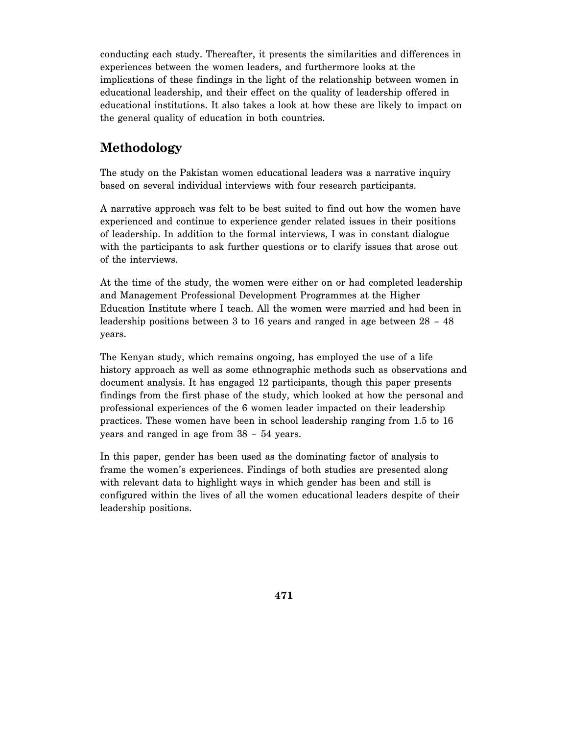conducting each study. Thereafter, it presents the similarities and differences in experiences between the women leaders, and furthermore looks at the implications of these findings in the light of the relationship between women in educational leadership, and their effect on the quality of leadership offered in educational institutions. It also takes a look at how these are likely to impact on the general quality of education in both countries.

# **Methodology**

The study on the Pakistan women educational leaders was a narrative inquiry based on several individual interviews with four research participants.

A narrative approach was felt to be best suited to find out how the women have experienced and continue to experience gender related issues in their positions of leadership. In addition to the formal interviews, I was in constant dialogue with the participants to ask further questions or to clarify issues that arose out of the interviews.

At the time of the study, the women were either on or had completed leadership and Management Professional Development Programmes at the Higher Education Institute where I teach. All the women were married and had been in leadership positions between 3 to 16 years and ranged in age between 28 – 48 years.

The Kenyan study, which remains ongoing, has employed the use of a life history approach as well as some ethnographic methods such as observations and document analysis. It has engaged 12 participants, though this paper presents findings from the first phase of the study, which looked at how the personal and professional experiences of the 6 women leader impacted on their leadership practices. These women have been in school leadership ranging from 1.5 to 16 years and ranged in age from 38 – 54 years.

In this paper, gender has been used as the dominating factor of analysis to frame the women's experiences. Findings of both studies are presented along with relevant data to highlight ways in which gender has been and still is configured within the lives of all the women educational leaders despite of their leadership positions.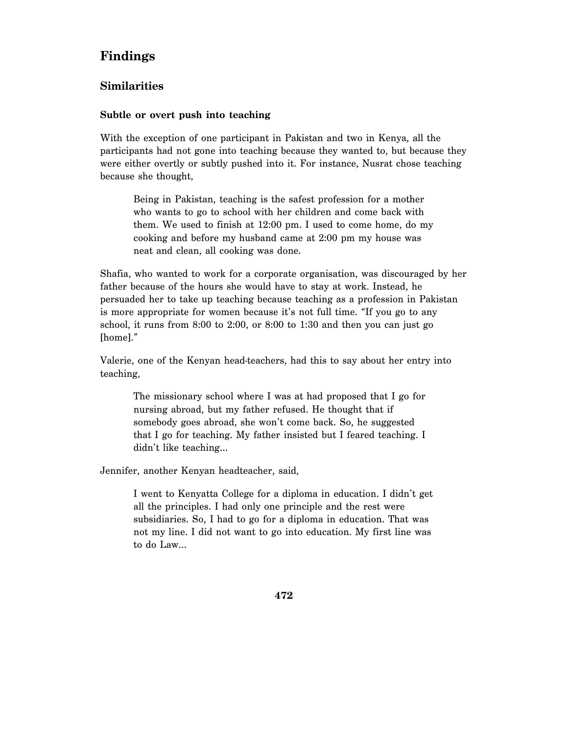### **Findings**

### **Similarities**

#### **Subtle or overt push into teaching**

With the exception of one participant in Pakistan and two in Kenya, all the participants had not gone into teaching because they wanted to, but because they were either overtly or subtly pushed into it. For instance, Nusrat chose teaching because she thought,

Being in Pakistan, teaching is the safest profession for a mother who wants to go to school with her children and come back with them. We used to finish at 12:00 pm. I used to come home, do my cooking and before my husband came at 2:00 pm my house was neat and clean, all cooking was done.

Shafia, who wanted to work for a corporate organisation, was discouraged by her father because of the hours she would have to stay at work. Instead, he persuaded her to take up teaching because teaching as a profession in Pakistan is more appropriate for women because it's not full time. "If you go to any school, it runs from 8:00 to 2:00, or 8:00 to 1:30 and then you can just go [home]."

Valerie, one of the Kenyan head-teachers, had this to say about her entry into teaching,

The missionary school where I was at had proposed that I go for nursing abroad, but my father refused. He thought that if somebody goes abroad, she won't come back. So, he suggested that I go for teaching. My father insisted but I feared teaching. I didn't like teaching…

Jennifer, another Kenyan headteacher, said,

I went to Kenyatta College for a diploma in education. I didn't get all the principles. I had only one principle and the rest were subsidiaries. So, I had to go for a diploma in education. That was not my line. I did not want to go into education. My first line was to do Law…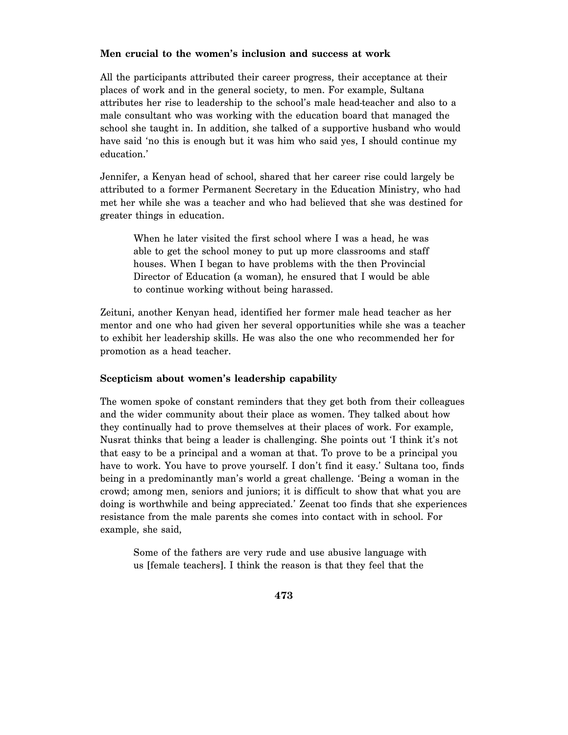#### **Men crucial to the women's inclusion and success at work**

All the participants attributed their career progress, their acceptance at their places of work and in the general society, to men. For example, Sultana attributes her rise to leadership to the school's male head-teacher and also to a male consultant who was working with the education board that managed the school she taught in. In addition, she talked of a supportive husband who would have said 'no this is enough but it was him who said yes, I should continue my education.'

Jennifer, a Kenyan head of school, shared that her career rise could largely be attributed to a former Permanent Secretary in the Education Ministry, who had met her while she was a teacher and who had believed that she was destined for greater things in education.

When he later visited the first school where I was a head, he was able to get the school money to put up more classrooms and staff houses. When I began to have problems with the then Provincial Director of Education (a woman), he ensured that I would be able to continue working without being harassed.

Zeituni, another Kenyan head, identified her former male head teacher as her mentor and one who had given her several opportunities while she was a teacher to exhibit her leadership skills. He was also the one who recommended her for promotion as a head teacher.

#### **Scepticism about women's leadership capability**

The women spoke of constant reminders that they get both from their colleagues and the wider community about their place as women. They talked about how they continually had to prove themselves at their places of work. For example, Nusrat thinks that being a leader is challenging. She points out 'I think it's not that easy to be a principal and a woman at that. To prove to be a principal you have to work. You have to prove yourself. I don't find it easy.' Sultana too, finds being in a predominantly man's world a great challenge. 'Being a woman in the crowd; among men, seniors and juniors; it is difficult to show that what you are doing is worthwhile and being appreciated.' Zeenat too finds that she experiences resistance from the male parents she comes into contact with in school. For example, she said,

Some of the fathers are very rude and use abusive language with us [female teachers]. I think the reason is that they feel that the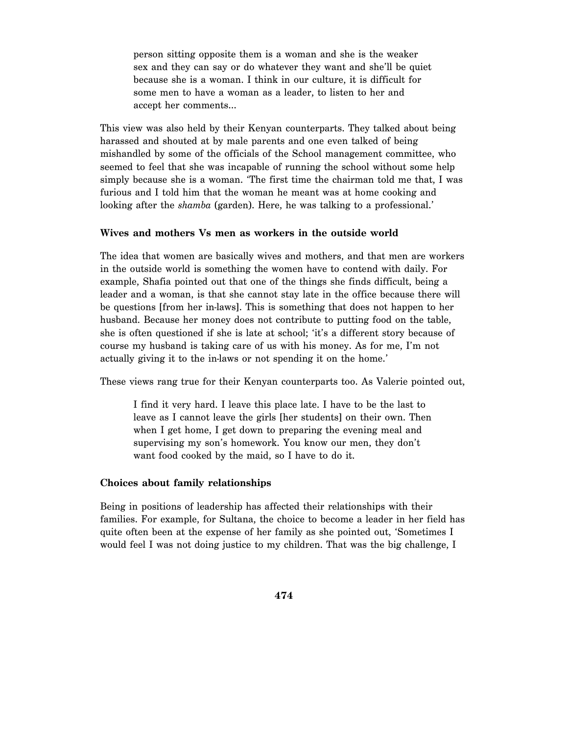person sitting opposite them is a woman and she is the weaker sex and they can say or do whatever they want and she'll be quiet because she is a woman. I think in our culture, it is difficult for some men to have a woman as a leader, to listen to her and accept her comments…

This view was also held by their Kenyan counterparts. They talked about being harassed and shouted at by male parents and one even talked of being mishandled by some of the officials of the School management committee, who seemed to feel that she was incapable of running the school without some help simply because she is a woman. 'The first time the chairman told me that, I was furious and I told him that the woman he meant was at home cooking and looking after the *shamba* (garden). Here, he was talking to a professional.'

#### **Wives and mothers Vs men as workers in the outside world**

The idea that women are basically wives and mothers, and that men are workers in the outside world is something the women have to contend with daily. For example, Shafia pointed out that one of the things she finds difficult, being a leader and a woman, is that she cannot stay late in the office because there will be questions [from her in-laws]. This is something that does not happen to her husband. Because her money does not contribute to putting food on the table, she is often questioned if she is late at school; 'it's a different story because of course my husband is taking care of us with his money. As for me, I'm not actually giving it to the in-laws or not spending it on the home.'

These views rang true for their Kenyan counterparts too. As Valerie pointed out,

I find it very hard. I leave this place late. I have to be the last to leave as I cannot leave the girls [her students] on their own. Then when I get home, I get down to preparing the evening meal and supervising my son's homework. You know our men, they don't want food cooked by the maid, so I have to do it.

#### **Choices about family relationships**

Being in positions of leadership has affected their relationships with their families. For example, for Sultana, the choice to become a leader in her field has quite often been at the expense of her family as she pointed out, 'Sometimes I would feel I was not doing justice to my children. That was the big challenge, I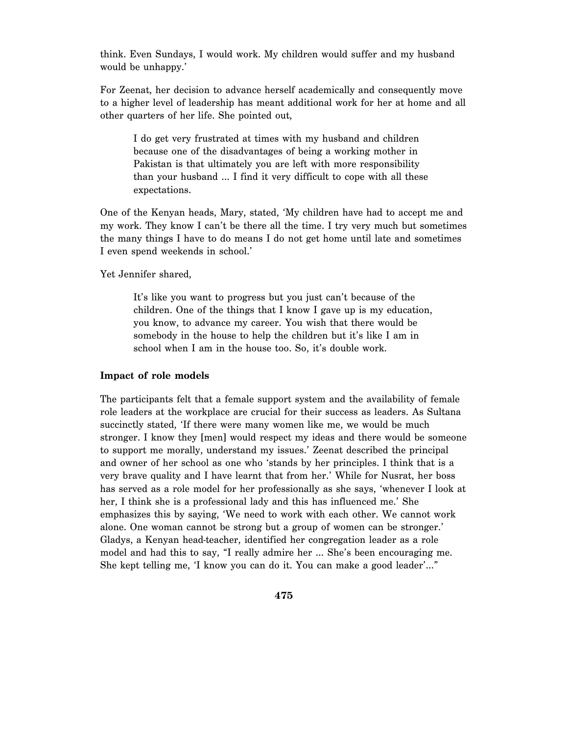think. Even Sundays, I would work. My children would suffer and my husband would be unhappy.'

For Zeenat, her decision to advance herself academically and consequently move to a higher level of leadership has meant additional work for her at home and all other quarters of her life. She pointed out,

I do get very frustrated at times with my husband and children because one of the disadvantages of being a working mother in Pakistan is that ultimately you are left with more responsibility than your husband … I find it very difficult to cope with all these expectations.

One of the Kenyan heads, Mary, stated, 'My children have had to accept me and my work. They know I can't be there all the time. I try very much but sometimes the many things I have to do means I do not get home until late and sometimes I even spend weekends in school.'

Yet Jennifer shared,

It's like you want to progress but you just can't because of the children. One of the things that I know I gave up is my education, you know, to advance my career. You wish that there would be somebody in the house to help the children but it's like I am in school when I am in the house too. So, it's double work.

#### **Impact of role models**

The participants felt that a female support system and the availability of female role leaders at the workplace are crucial for their success as leaders. As Sultana succinctly stated, 'If there were many women like me, we would be much stronger. I know they [men] would respect my ideas and there would be someone to support me morally, understand my issues.' Zeenat described the principal and owner of her school as one who 'stands by her principles. I think that is a very brave quality and I have learnt that from her.' While for Nusrat, her boss has served as a role model for her professionally as she says, 'whenever I look at her, I think she is a professional lady and this has influenced me.' She emphasizes this by saying, 'We need to work with each other. We cannot work alone. One woman cannot be strong but a group of women can be stronger.' Gladys, a Kenyan head-teacher, identified her congregation leader as a role model and had this to say, "I really admire her … She's been encouraging me. She kept telling me, 'I know you can do it. You can make a good leader'…"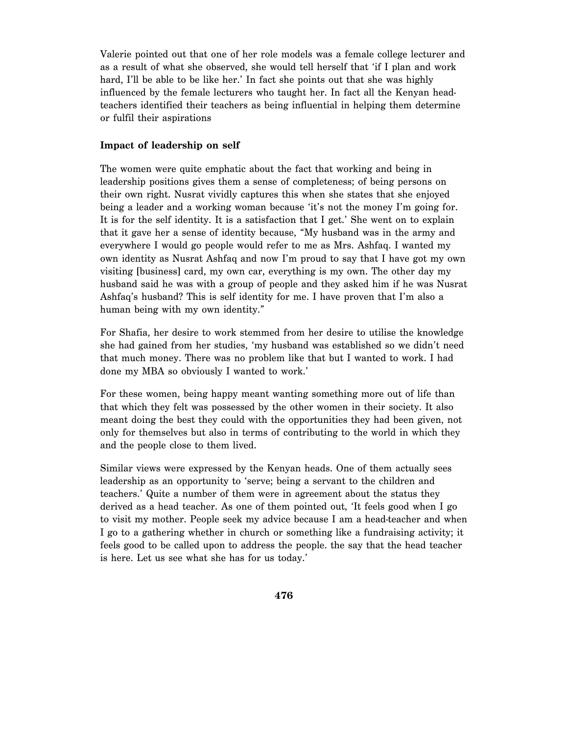Valerie pointed out that one of her role models was a female college lecturer and as a result of what she observed, she would tell herself that 'if I plan and work hard, I'll be able to be like her.' In fact she points out that she was highly influenced by the female lecturers who taught her. In fact all the Kenyan headteachers identified their teachers as being influential in helping them determine or fulfil their aspirations

#### **Impact of leadership on self**

The women were quite emphatic about the fact that working and being in leadership positions gives them a sense of completeness; of being persons on their own right. Nusrat vividly captures this when she states that she enjoyed being a leader and a working woman because 'it's not the money I'm going for. It is for the self identity. It is a satisfaction that I get.' She went on to explain that it gave her a sense of identity because, "My husband was in the army and everywhere I would go people would refer to me as Mrs. Ashfaq. I wanted my own identity as Nusrat Ashfaq and now I'm proud to say that I have got my own visiting [business] card, my own car, everything is my own. The other day my husband said he was with a group of people and they asked him if he was Nusrat Ashfaq's husband? This is self identity for me. I have proven that I'm also a human being with my own identity."

For Shafia, her desire to work stemmed from her desire to utilise the knowledge she had gained from her studies, 'my husband was established so we didn't need that much money. There was no problem like that but I wanted to work. I had done my MBA so obviously I wanted to work.'

For these women, being happy meant wanting something more out of life than that which they felt was possessed by the other women in their society. It also meant doing the best they could with the opportunities they had been given, not only for themselves but also in terms of contributing to the world in which they and the people close to them lived.

Similar views were expressed by the Kenyan heads. One of them actually sees leadership as an opportunity to 'serve; being a servant to the children and teachers.' Quite a number of them were in agreement about the status they derived as a head teacher. As one of them pointed out, 'It feels good when I go to visit my mother. People seek my advice because I am a head-teacher and when I go to a gathering whether in church or something like a fundraising activity; it feels good to be called upon to address the people. the say that the head teacher is here. Let us see what she has for us today.'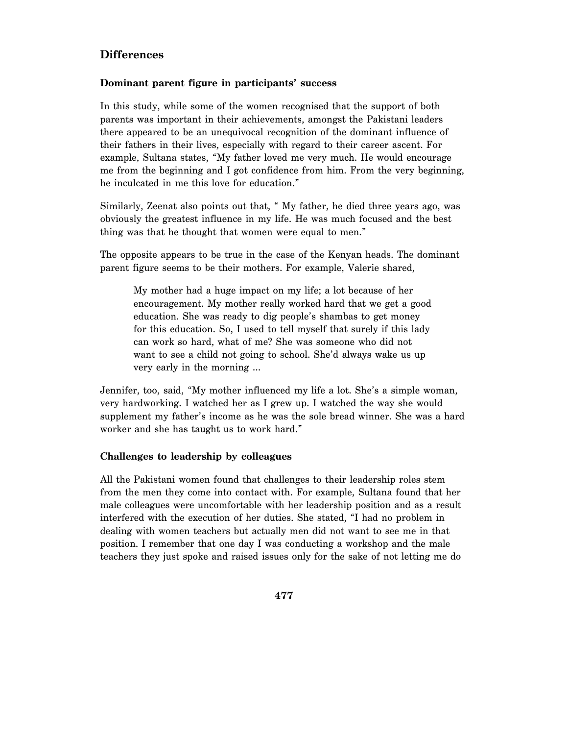### **Differences**

#### **Dominant parent figure in participants' success**

In this study, while some of the women recognised that the support of both parents was important in their achievements, amongst the Pakistani leaders there appeared to be an unequivocal recognition of the dominant influence of their fathers in their lives, especially with regard to their career ascent. For example, Sultana states, "My father loved me very much. He would encourage me from the beginning and I got confidence from him. From the very beginning, he inculcated in me this love for education."

Similarly, Zeenat also points out that, " My father, he died three years ago, was obviously the greatest influence in my life. He was much focused and the best thing was that he thought that women were equal to men."

The opposite appears to be true in the case of the Kenyan heads. The dominant parent figure seems to be their mothers. For example, Valerie shared,

My mother had a huge impact on my life; a lot because of her encouragement. My mother really worked hard that we get a good education. She was ready to dig people's shambas to get money for this education. So, I used to tell myself that surely if this lady can work so hard, what of me? She was someone who did not want to see a child not going to school. She'd always wake us up very early in the morning …

Jennifer, too, said, "My mother influenced my life a lot. She's a simple woman, very hardworking. I watched her as I grew up. I watched the way she would supplement my father's income as he was the sole bread winner. She was a hard worker and she has taught us to work hard."

#### **Challenges to leadership by colleagues**

All the Pakistani women found that challenges to their leadership roles stem from the men they come into contact with. For example, Sultana found that her male colleagues were uncomfortable with her leadership position and as a result interfered with the execution of her duties. She stated, "I had no problem in dealing with women teachers but actually men did not want to see me in that position. I remember that one day I was conducting a workshop and the male teachers they just spoke and raised issues only for the sake of not letting me do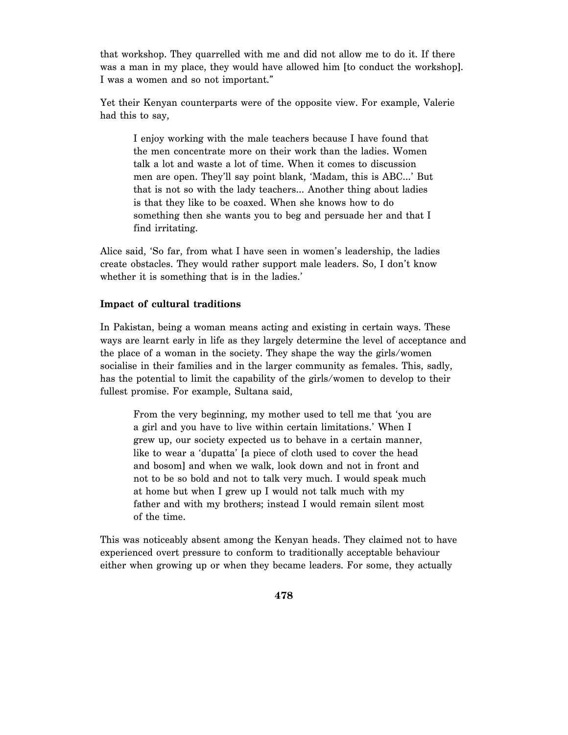that workshop. They quarrelled with me and did not allow me to do it. If there was a man in my place, they would have allowed him [to conduct the workshop]. I was a women and so not important."

Yet their Kenyan counterparts were of the opposite view. For example, Valerie had this to say,

I enjoy working with the male teachers because I have found that the men concentrate more on their work than the ladies. Women talk a lot and waste a lot of time. When it comes to discussion men are open. They'll say point blank, 'Madam, this is ABC…' But that is not so with the lady teachers… Another thing about ladies is that they like to be coaxed. When she knows how to do something then she wants you to beg and persuade her and that I find irritating.

Alice said, 'So far, from what I have seen in women's leadership, the ladies create obstacles. They would rather support male leaders. So, I don't know whether it is something that is in the ladies.'

#### **Impact of cultural traditions**

In Pakistan, being a woman means acting and existing in certain ways. These ways are learnt early in life as they largely determine the level of acceptance and the place of a woman in the society. They shape the way the girls/women socialise in their families and in the larger community as females. This, sadly, has the potential to limit the capability of the girls/women to develop to their fullest promise. For example, Sultana said,

From the very beginning, my mother used to tell me that 'you are a girl and you have to live within certain limitations.' When I grew up, our society expected us to behave in a certain manner, like to wear a 'dupatta' [a piece of cloth used to cover the head and bosom] and when we walk, look down and not in front and not to be so bold and not to talk very much. I would speak much at home but when I grew up I would not talk much with my father and with my brothers; instead I would remain silent most of the time.

This was noticeably absent among the Kenyan heads. They claimed not to have experienced overt pressure to conform to traditionally acceptable behaviour either when growing up or when they became leaders. For some, they actually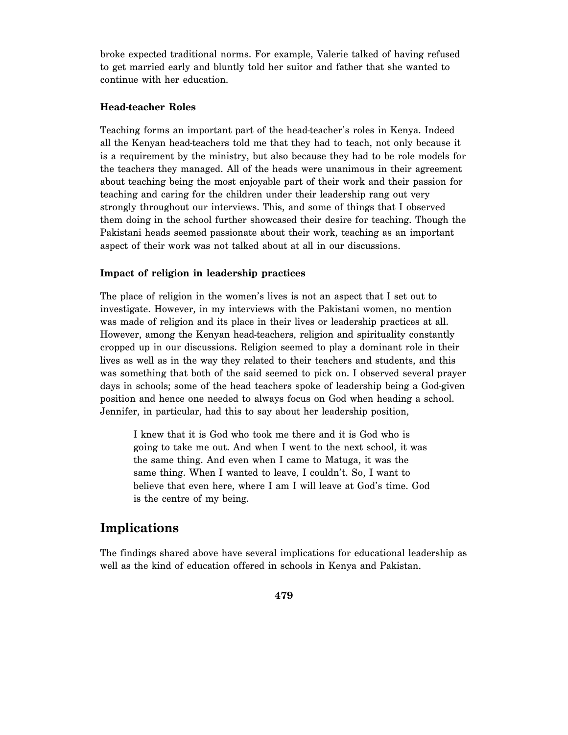broke expected traditional norms. For example, Valerie talked of having refused to get married early and bluntly told her suitor and father that she wanted to continue with her education.

#### **Head-teacher Roles**

Teaching forms an important part of the head-teacher's roles in Kenya. Indeed all the Kenyan head-teachers told me that they had to teach, not only because it is a requirement by the ministry, but also because they had to be role models for the teachers they managed. All of the heads were unanimous in their agreement about teaching being the most enjoyable part of their work and their passion for teaching and caring for the children under their leadership rang out very strongly throughout our interviews. This, and some of things that I observed them doing in the school further showcased their desire for teaching. Though the Pakistani heads seemed passionate about their work, teaching as an important aspect of their work was not talked about at all in our discussions.

#### **Impact of religion in leadership practices**

The place of religion in the women's lives is not an aspect that I set out to investigate. However, in my interviews with the Pakistani women, no mention was made of religion and its place in their lives or leadership practices at all. However, among the Kenyan head-teachers, religion and spirituality constantly cropped up in our discussions. Religion seemed to play a dominant role in their lives as well as in the way they related to their teachers and students, and this was something that both of the said seemed to pick on. I observed several prayer days in schools; some of the head teachers spoke of leadership being a God-given position and hence one needed to always focus on God when heading a school. Jennifer, in particular, had this to say about her leadership position,

I knew that it is God who took me there and it is God who is going to take me out. And when I went to the next school, it was the same thing. And even when I came to Matuga, it was the same thing. When I wanted to leave, I couldn't. So, I want to believe that even here, where I am I will leave at God's time. God is the centre of my being.

### **Implications**

The findings shared above have several implications for educational leadership as well as the kind of education offered in schools in Kenya and Pakistan.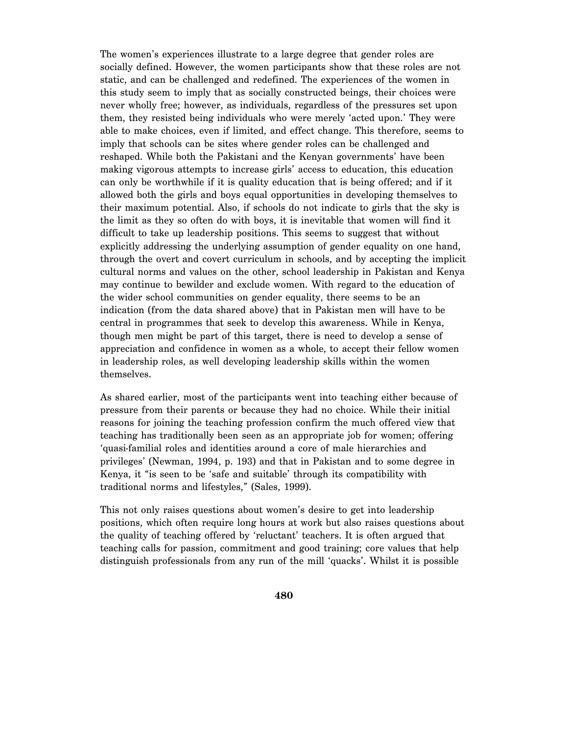The women's experiences illustrate to a large degree that gender roles are socially defined. However, the women participants show that these roles are not static, and can be challenged and redefined. The experiences of the women in this study seem to imply that as socially constructed beings, their choices were never wholly free; however, as individuals, regardless of the pressures set upon them, they resisted being individuals who were merely 'acted upon.' They were able to make choices, even if limited, and effect change. This therefore, seems to imply that schools can be sites where gender roles can be challenged and reshaped. While both the Pakistani and the Kenyan governments' have been making vigorous attempts to increase girls' access to education, this education can only be worthwhile if it is quality education that is being offered; and if it allowed both the girls and boys equal opportunities in developing themselves to their maximum potential. Also, if schools do not indicate to girls that the sky is the limit as they so often do with boys, it is inevitable that women will find it difficult to take up leadership positions. This seems to suggest that without explicitly addressing the underlying assumption of gender equality on one hand, through the overt and covert curriculum in schools, and by accepting the implicit cultural norms and values on the other, school leadership in Pakistan and Kenya may continue to bewilder and exclude women. With regard to the education of the wider school communities on gender equality, there seems to be an indication (from the data shared above) that in Pakistan men will have to be central in programmes that seek to develop this awareness. While in Kenya, though men might be part of this target, there is need to develop a sense of appreciation and confidence in women as a whole, to accept their fellow women in leadership roles, as well developing leadership skills within the women themselves.

As shared earlier, most of the participants went into teaching either because of pressure from their parents or because they had no choice. While their initial reasons for joining the teaching profession confirm the much offered view that teaching has traditionally been seen as an appropriate job for women; offering 'quasi-familial roles and identities around a core of male hierarchies and privileges' (Newman, 1994, p. 193) and that in Pakistan and to some degree in Kenya, it "is seen to be 'safe and suitable' through its compatibility with traditional norms and lifestyles," (Sales, 1999).

This not only raises questions about women's desire to get into leadership positions, which often require long hours at work but also raises questions about the quality of teaching offered by 'reluctant' teachers. It is often argued that teaching calls for passion, commitment and good training; core values that help distinguish professionals from any run of the mill 'quacks'. Whilst it is possible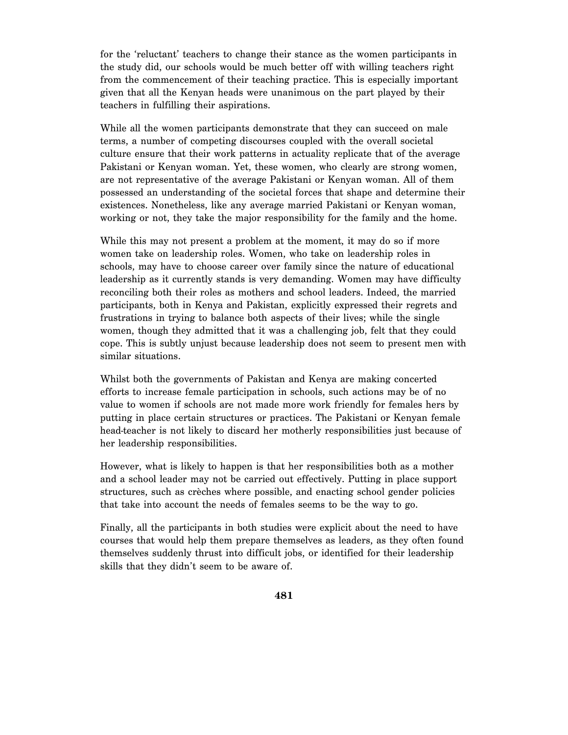for the 'reluctant' teachers to change their stance as the women participants in the study did, our schools would be much better off with willing teachers right from the commencement of their teaching practice. This is especially important given that all the Kenyan heads were unanimous on the part played by their teachers in fulfilling their aspirations.

While all the women participants demonstrate that they can succeed on male terms, a number of competing discourses coupled with the overall societal culture ensure that their work patterns in actuality replicate that of the average Pakistani or Kenyan woman. Yet, these women, who clearly are strong women, are not representative of the average Pakistani or Kenyan woman. All of them possessed an understanding of the societal forces that shape and determine their existences. Nonetheless, like any average married Pakistani or Kenyan woman, working or not, they take the major responsibility for the family and the home.

While this may not present a problem at the moment, it may do so if more women take on leadership roles. Women, who take on leadership roles in schools, may have to choose career over family since the nature of educational leadership as it currently stands is very demanding. Women may have difficulty reconciling both their roles as mothers and school leaders. Indeed, the married participants, both in Kenya and Pakistan, explicitly expressed their regrets and frustrations in trying to balance both aspects of their lives; while the single women, though they admitted that it was a challenging job, felt that they could cope. This is subtly unjust because leadership does not seem to present men with similar situations.

Whilst both the governments of Pakistan and Kenya are making concerted efforts to increase female participation in schools, such actions may be of no value to women if schools are not made more work friendly for females hers by putting in place certain structures or practices. The Pakistani or Kenyan female head-teacher is not likely to discard her motherly responsibilities just because of her leadership responsibilities.

However, what is likely to happen is that her responsibilities both as a mother and a school leader may not be carried out effectively. Putting in place support structures, such as crèches where possible, and enacting school gender policies that take into account the needs of females seems to be the way to go.

Finally, all the participants in both studies were explicit about the need to have courses that would help them prepare themselves as leaders, as they often found themselves suddenly thrust into difficult jobs, or identified for their leadership skills that they didn't seem to be aware of.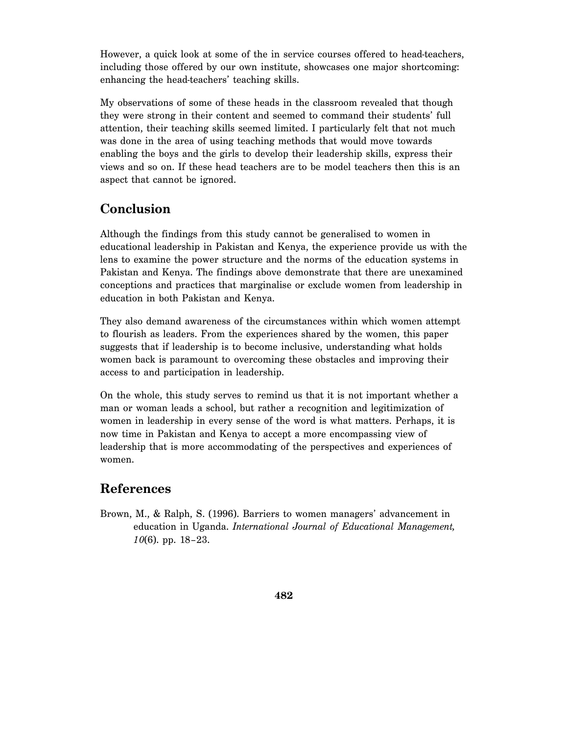However, a quick look at some of the in service courses offered to head-teachers, including those offered by our own institute, showcases one major shortcoming: enhancing the head-teachers' teaching skills.

My observations of some of these heads in the classroom revealed that though they were strong in their content and seemed to command their students' full attention, their teaching skills seemed limited. I particularly felt that not much was done in the area of using teaching methods that would move towards enabling the boys and the girls to develop their leadership skills, express their views and so on. If these head teachers are to be model teachers then this is an aspect that cannot be ignored.

## **Conclusion**

Although the findings from this study cannot be generalised to women in educational leadership in Pakistan and Kenya, the experience provide us with the lens to examine the power structure and the norms of the education systems in Pakistan and Kenya. The findings above demonstrate that there are unexamined conceptions and practices that marginalise or exclude women from leadership in education in both Pakistan and Kenya.

They also demand awareness of the circumstances within which women attempt to flourish as leaders. From the experiences shared by the women, this paper suggests that if leadership is to become inclusive, understanding what holds women back is paramount to overcoming these obstacles and improving their access to and participation in leadership.

On the whole, this study serves to remind us that it is not important whether a man or woman leads a school, but rather a recognition and legitimization of women in leadership in every sense of the word is what matters. Perhaps, it is now time in Pakistan and Kenya to accept a more encompassing view of leadership that is more accommodating of the perspectives and experiences of women.

# **References**

Brown, M., & Ralph, S. (1996). Barriers to women managers' advancement in education in Uganda. *International Journal of Educational Management, 10*(6). pp. 18–23.